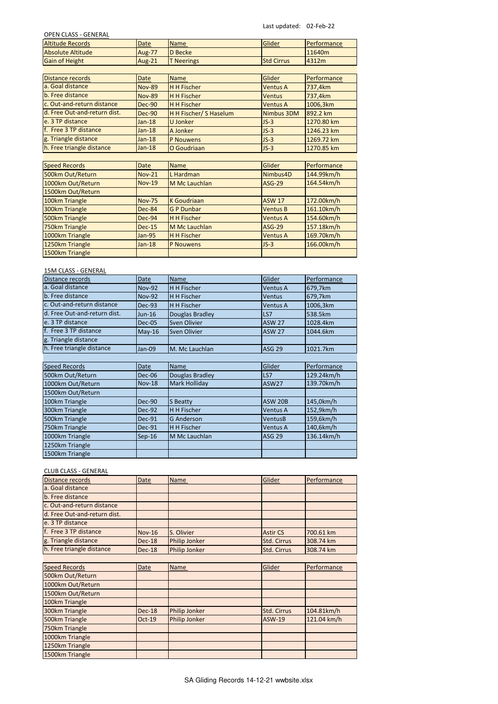Last updated: 02-Feb-22

| <b>OPEN CLASS - GENERAL</b> |  |
|-----------------------------|--|
|-----------------------------|--|

| UPEN CLASS - GENENAL     |               |                 |                   |                    |
|--------------------------|---------------|-----------------|-------------------|--------------------|
| <b>Altitude Records</b>  | <b>Date</b>   | <b>Name</b>     | Glider            | Performance        |
| <b>Absolute Altitude</b> | <b>Aug-77</b> | <b>ID Becke</b> |                   | 11640 <sub>m</sub> |
| <b>Gain of Height</b>    | Aug-21        | T Neerings      | <b>Std Cirrus</b> | 4312m              |

| Distance records             | <b>Date</b>   | Name                   | Glider          | Performance |
|------------------------------|---------------|------------------------|-----------------|-------------|
| a. Goal distance             | <b>Nov-89</b> | <b>H H Fischer</b>     | <b>Ventus A</b> | 737,4km     |
| b. Free distance             | <b>Nov-89</b> | <b>H H Fischer</b>     | <b>Ventus</b>   | 737,4km     |
| c. Out-and-return distance   | Dec-90        | <b>H</b> H Fischer     | <b>Ventus A</b> | 1006,3km    |
| d. Free Out-and-return dist. | Dec-90        | H H Fischer/ S Haselum | Nimbus 3DM      | 892.2 km    |
| e. 3 TP distance             | $Jan-18$      | U Jonker               | $JS-3$          | 1270.80 km  |
| f. Free 3 TP distance        | $Jan-18$      | A Jonker               | $JS-3$          | 1246.23 km  |
| g. Triangle distance         | $Jan-18$      | <b>P</b> Nouwens       | $JS-3$          | 1269.72 km  |
| h. Free triangle distance    | $Jan-18$      | O Goudriaan            | $JS-3$          | 1270.85 km  |

| <b>Speed Records</b> | <b>Date</b>   | <b>Name</b>        | Glider          | Performance |
|----------------------|---------------|--------------------|-----------------|-------------|
| 500km Out/Return     | <b>Nov-21</b> | L Hardman          | Nimbus4D        | 144.99km/h  |
| 1000km Out/Return    | <b>Nov-19</b> | M Mc Lauchlan      | <b>ASG-29</b>   | 164.54km/h  |
| 1500km Out/Return    |               |                    |                 |             |
| 100km Triangle       | <b>Nov-75</b> | <b>K</b> Goudriaan | <b>ASW 17</b>   | 172.00km/h  |
| 300km Triangle       | Dec-84        | <b>GP Dunbar</b>   | <b>Ventus B</b> | 161.10km/h  |
| 500km Triangle       | Dec-94        | <b>H H Fischer</b> | <b>Ventus A</b> | 154.60km/h  |
| 750km Triangle       | $Dec-15$      | M Mc Lauchlan      | <b>ASG-29</b>   | 157.18km/h  |
| 1000km Triangle      | <b>Jan-95</b> | <b>H H Fischer</b> | <b>Ventus A</b> | 169.70km/h  |
| 1250km Triangle      | $Jan-18$      | <b>P</b> Nouwens   | $JS-3$          | 166.00km/h  |
| 1500km Triangle      |               |                    |                 |             |

# 15M CLASS - GENERAL

| Distance records             | <b>Date</b>   | <b>Name</b>       | Glider          | Performance |
|------------------------------|---------------|-------------------|-----------------|-------------|
| a. Goal distance             | <b>Nov-92</b> | H H Fischer       | <b>Ventus A</b> | 679,7km     |
| b. Free distance             | <b>Nov-92</b> | H H Fischer       | <b>Ventus</b>   | 679,7km     |
| c. Out-and-return distance   | Dec-93        | H H Fischer       | <b>Ventus A</b> | 1006,3km    |
| d. Free Out-and-return dist. | $Jun-16$      | Douglas Bradley   | LS7             | 538.5km     |
| e. 3 TP distance             | <b>Dec-05</b> | Sven Olivier      | <b>ASW 27</b>   | 1028.4km    |
| f. Free 3 TP distance        | $May-16$      | Sven Olivier      | <b>ASW 27</b>   | 1044.6km    |
| g. Triangle distance         |               |                   |                 |             |
| h. Free triangle distance    | Jan-09        | M. Mc Lauchlan    | <b>ASG 29</b>   | 1021.7km    |
|                              |               |                   |                 |             |
| <b>Speed Records</b>         | Date          | <b>Name</b>       | Glider          | Performance |
| 500km Out/Return             | <b>Dec-06</b> | Douglas Bradley   | LS7             | 129.24km/h  |
| 1000km Out/Return            | <b>Nov-18</b> | Mark Holliday     | ASW27           | 139.70km/h  |
| 1500km Out/Return            |               |                   |                 |             |
| 100km Triangle               | Dec-90        | S Beatty          | <b>ASW 20B</b>  | 145,0km/h   |
| 300km Triangle               | Dec-92        | H H Fischer       | <b>Ventus A</b> | 152,9km/h   |
| 500km Triangle               | Dec-91        | <b>G</b> Anderson | <b>VentusB</b>  | 159,6km/h   |
| 750km Triangle               | Dec-91        | H H Fischer       | Ventus A        | 140,6km/h   |
| 1000km Triangle              | $Sep-16$      | M Mc Lauchlan     | <b>ASG 29</b>   | 136.14km/h  |
| 1250km Triangle              |               |                   |                 |             |
| 1500km Triangle              |               |                   |                 |             |

# CLUB CLASS - GENERAL

| <b>Distance records</b>      | <b>Date</b>   | Name                 | Glider             | Performance |
|------------------------------|---------------|----------------------|--------------------|-------------|
| a. Goal distance             |               |                      |                    |             |
| b. Free distance             |               |                      |                    |             |
| c. Out-and-return distance   |               |                      |                    |             |
| d. Free Out-and-return dist. |               |                      |                    |             |
| e. 3 TP distance             |               |                      |                    |             |
| f. Free 3 TP distance        | <b>Nov-16</b> | S. Olivier           | <b>Astir CS</b>    | 700.61 km   |
| g. Triangle distance         | Dec-18        | <b>Philip Jonker</b> | Std. Cirrus        | 308.74 km   |
| h. Free triangle distance    | Dec-18        | <b>Philip Jonker</b> | <b>Std. Cirrus</b> | 308.74 km   |

| <b>Speed Records</b> | <b>Date</b> | <b>Name</b>          | Glider      | Performance |
|----------------------|-------------|----------------------|-------------|-------------|
| 500km Out/Return     |             |                      |             |             |
| 1000km Out/Return    |             |                      |             |             |
| 1500km Out/Return    |             |                      |             |             |
| 100km Triangle       |             |                      |             |             |
| 300km Triangle       | Dec-18      | <b>Philip Jonker</b> | Std. Cirrus | 104.81km/h  |
| 500km Triangle       | $Oct-19$    | <b>Philip Jonker</b> | ASW-19      | 121.04 km/h |
| 750km Triangle       |             |                      |             |             |
| 1000km Triangle      |             |                      |             |             |
| 1250km Triangle      |             |                      |             |             |
| 1500km Triangle      |             |                      |             |             |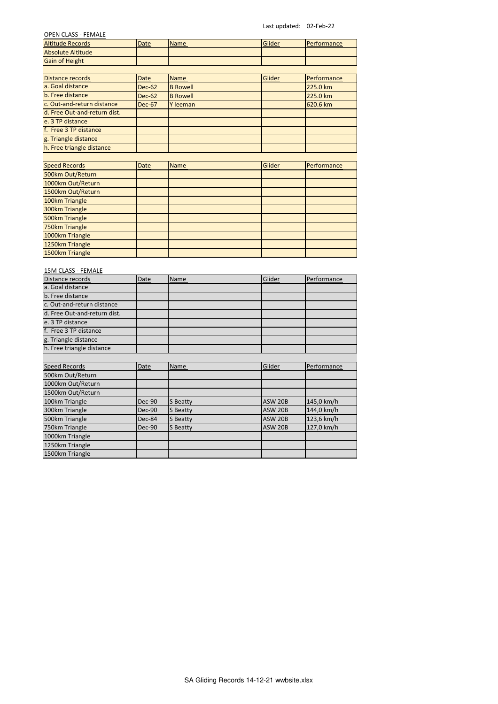Last updated: 02-Feb-22

| <b>OPEN CLASS - FEMALE</b>         |               |                 |                |             |
|------------------------------------|---------------|-----------------|----------------|-------------|
| <b>Altitude Records</b>            | Date          | Name            | Glider         | Performance |
| <b>Absolute Altitude</b>           |               |                 |                |             |
| <b>Gain of Height</b>              |               |                 |                |             |
|                                    |               |                 |                |             |
| <b>Distance records</b>            | Date          | <b>Name</b>     | Glider         | Performance |
| a. Goal distance                   | <b>Dec-62</b> | <b>B</b> Rowell |                | 225.0 km    |
| b. Free distance                   | <b>Dec-62</b> | <b>B</b> Rowell |                | 225.0 km    |
| c. Out-and-return distance         | Dec-67        | Y leeman        |                | 620.6 km    |
| d. Free Out-and-return dist.       |               |                 |                |             |
| e. 3 TP distance                   |               |                 |                |             |
| f. Free 3 TP distance              |               |                 |                |             |
| g. Triangle distance               |               |                 |                |             |
| h. Free triangle distance          |               |                 |                |             |
|                                    |               |                 |                |             |
| <b>Speed Records</b>               | Date          | <b>Name</b>     | Glider         | Performance |
| 500km Out/Return                   |               |                 |                |             |
| 1000km Out/Return                  |               |                 |                |             |
| 1500km Out/Return                  |               |                 |                |             |
| 100km Triangle                     |               |                 |                |             |
| 300km Triangle                     |               |                 |                |             |
| 500km Triangle                     |               |                 |                |             |
| 750km Triangle                     |               |                 |                |             |
| 1000km Triangle                    |               |                 |                |             |
| 1250km Triangle                    |               |                 |                |             |
| 1500km Triangle                    |               |                 |                |             |
|                                    |               |                 |                |             |
| 15M CLASS - FEMALE                 |               |                 |                |             |
| Distance records                   | Date          | Name            | Glider         | Performance |
| a. Goal distance                   |               |                 |                |             |
| b. Free distance                   |               |                 |                |             |
| c. Out-and-return distance         |               |                 |                |             |
| d. Free Out-and-return dist.       |               |                 |                |             |
| e. 3 TP distance                   |               |                 |                |             |
| f. Free 3 TP distance              |               |                 |                |             |
| g. Triangle distance               |               |                 |                |             |
|                                    |               |                 |                |             |
| h. Free triangle distance          |               |                 |                |             |
|                                    |               |                 |                |             |
| <b>Speed Records</b>               | Date          | Name            | Glider         | Performance |
| 500km Out/Return                   |               |                 |                |             |
| 1000km Out/Return                  |               |                 |                |             |
| 1500km Out/Return                  |               |                 |                |             |
| 100km Triangle                     | <b>Dec-90</b> | S Beatty        | <b>ASW 20B</b> | 145,0 km/h  |
| 300km Triangle                     | <b>Dec-90</b> | S Beatty        | <b>ASW 20B</b> | 144,0 km/h  |
| 500km Triangle                     | Dec-84        | S Beatty        | <b>ASW 20B</b> | 123,6 km/h  |
| 750km Triangle                     | <b>Dec-90</b> | <b>S</b> Beatty | <b>ASW 20B</b> | 127,0 km/h  |
| 1000km Triangle                    |               |                 |                |             |
| 1250km Triangle<br>1500km Triangle |               |                 |                |             |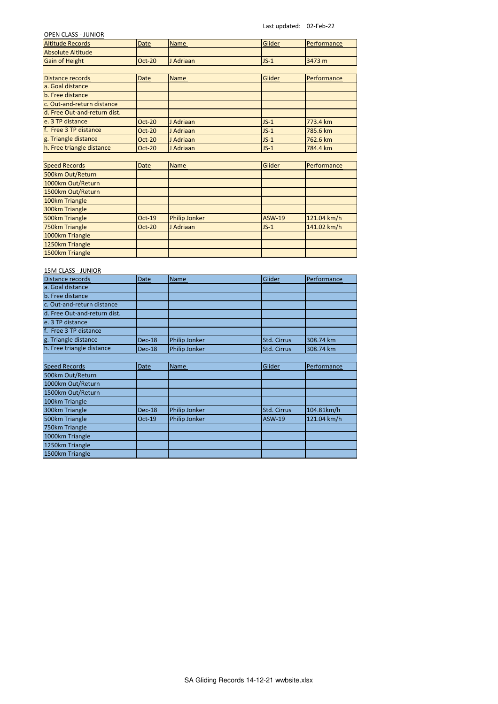Last updated: 02-Feb-22

| <b>OPEN CLASS - JUNIOR</b>   |               |                      |               |             |
|------------------------------|---------------|----------------------|---------------|-------------|
| <b>Altitude Records</b>      | Date          | Name                 | Glider        | Performance |
| <b>Absolute Altitude</b>     |               |                      |               |             |
| <b>Gain of Height</b>        | Oct-20        | J Adriaan            | $JS-1$        | 3473 m      |
|                              |               |                      |               |             |
| <b>Distance records</b>      | Date          | Name                 | Glider        | Performance |
| a. Goal distance             |               |                      |               |             |
| b. Free distance             |               |                      |               |             |
| c. Out-and-return distance   |               |                      |               |             |
| d. Free Out-and-return dist. |               |                      |               |             |
| e. 3 TP distance             | <b>Oct-20</b> | J Adriaan            | $JS-1$        | 773.4 km    |
| f. Free 3 TP distance        | $Oct-20$      | J Adriaan            | $JS-1$        | 785.6 km    |
| g. Triangle distance         | <b>Oct-20</b> | J Adriaan            | $JS-1$        | 762.6 km    |
| h. Free triangle distance    | $Oct-20$      | J Adriaan            | $JS-1$        | 784.4 km    |
|                              |               |                      |               |             |
| <b>Speed Records</b>         | <b>Date</b>   | <b>Name</b>          | Glider        | Performance |
| 500km Out/Return             |               |                      |               |             |
| 1000km Out/Return            |               |                      |               |             |
| 1500km Out/Return            |               |                      |               |             |
| 100km Triangle               |               |                      |               |             |
| 300km Triangle               |               |                      |               |             |
| 500km Triangle               | Oct-19        | <b>Philip Jonker</b> | <b>ASW-19</b> | 121.04 km/h |
| 750km Triangle               | Oct-20        | J Adriaan            | $JS-1$        | 141.02 km/h |
| 1000km Triangle              |               |                      |               |             |
| 1250km Triangle              |               |                      |               |             |
| 1500km Triangle              |               |                      |               |             |
|                              |               |                      |               |             |
| 15M CLASS - JUNIOR           |               |                      |               |             |
| Distance records             | Date          | Name                 | Glider        | Performance |
| a. Goal distance             |               |                      |               |             |
| b. Free distance             |               |                      |               |             |
| c. Out-and-return distance   |               |                      |               |             |
| d. Free Out-and-return dist. |               |                      |               |             |
| e. 3 TP distance             |               |                      |               |             |
| f. Free 3 TP distance        |               |                      |               |             |
| g. Triangle distance         | <b>Dec-18</b> | Philip Jonker        | Std. Cirrus   | 308.74 km   |
| h. Free triangle distance    | <b>Dec-18</b> | Philip Jonker        | Std. Cirrus   | 308.74 km   |
|                              |               |                      |               |             |
| <b>Speed Records</b>         | Date          | Name                 | Glider        | Performance |
| 500km Out/Return             |               |                      |               |             |
| 1000km Out/Return            |               |                      |               |             |
| 1500km Out/Return            |               |                      |               |             |
| 100km Triangle               |               |                      |               |             |
| 300km Triangle               | <b>Dec-18</b> | Philip Jonker        | Std. Cirrus   | 104.81km/h  |
| 500km Triangle               | Oct-19        | Philip Jonker        | <b>ASW-19</b> | 121.04 km/h |
| 750km Triangle               |               |                      |               |             |
| 1000km Triangle              |               |                      |               |             |
| 1250km Triangle              |               |                      |               |             |
| 1500km Triangle              |               |                      |               |             |